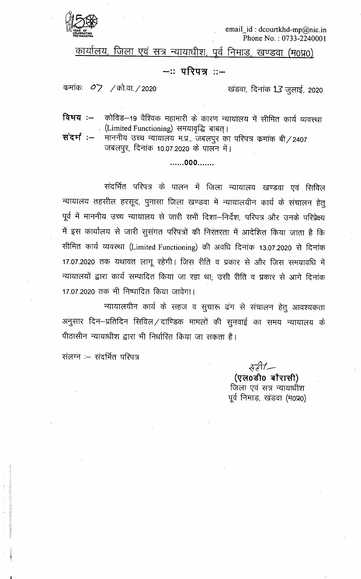

email\_id: dcourtkhd-mp@nic.in Phone No.: 0733-2240001

कार्यालय, जिला एवं सत्र न्यायाधीश, पूर्व निमाड, खण्डवा (म0प्र0)

## —∷परिपत्र ∷—

कमांकः  $O$ 7 / को.वा./2020

खंडवा, दिनांक 13 जुलाई, 2020

कोविड–19 वैश्विक महामारी के कारण न्यायालय में सीमित कार्य व्यवस्था विषय :— . (Limited Functioning) समयावृद्धि बाबत्।

संदर्भ :-माननीय उच्च न्यायालय म.प्र., जबलपुर का परिपत्र कमांक बी / 2407 जबलपुर, दिनांक 10.07.2020 के पालन में।

.......000.......

संदर्भित परिपत्र के पालन में जिला न्यायालय खण्डवा एवं सिविल न्यायालय तहसील हरसूद, पुनासा जिला खण्डवा में न्यायालयीन कार्य के संचालन हेतु पूर्व में माननीय उच्च न्यायालय से जारी सभी दिशा–निर्देश, परिपत्र और उनके परिप्रेक्ष्य में इस कार्यालय से जारी सुसंगत परिपत्रों की निरंतरता में आदेशित किया जाता है कि सीमित कार्य व्यवस्था (Limited Functioning) की अवधि दिनांक 13.07.2020 से दिनांक 17.07.2020 तक यथावत लागू रहेगी। जिस रीति व प्रकार से और जिस समयावधि में न्यायालयों द्वारा कार्य सम्पादित किया जा रहा था, उसी रीति व प्रकार से आगे दिनांक 17.07.2020 तक भी निष्पादित किया जावेगा।

न्यायालयीन कार्य के सहज व सुचारू ढंग से संचालन हेतु आवश्यकता अनुसार दिन–प्रतिदिन सिविल/दाण्डिक मामलों की सुनवाई का समय न्यायालय के पीठासीन न्यायाधीश द्वारा भी निर्धारित किया जा सकता है।

संलग्न :- संदर्भित परिपत्र

सही/— (एल0डी0 बौरासी) जिला एवं सत्र न्यायाधीश पूर्व निमाड़, खंडवा (म0प्र0)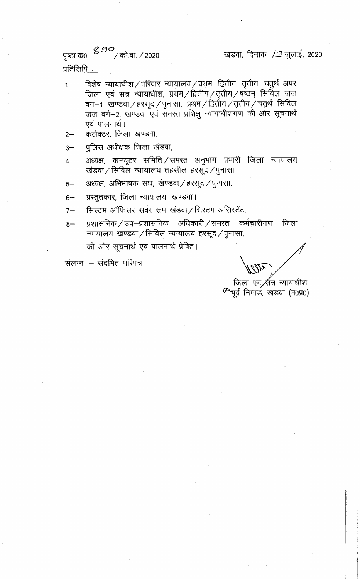पृष्ठां.क0 <sup>890</sup>/को.वा./2020

खंडवा, दिनांक /3 जुलाई, 2020

प्रतिलिपि:—

- विशेष न्यायाधीश/परिवार न्यायालय/प्रथम, द्वितीय, तृतीय, चतुर्थ अपर  $1 -$ जिला एवं सत्र न्यायाधीश, प्रथम / द्वितीय / तृतीय / षष्ठम् सिर्विल जज वर्ग–1 खण्डवा / हरसूद / पुनासा, प्रथम / द्वितीय / तृतीय / चतुर्थ सिविल<br>जज वर्ग–2, खण्डवा एवं समस्त प्रशिक्षु न्यायाधीशगण की ओर सूचनार्थ एवं पालनार्थ।
- कलेक्टर, जिला खण्डवा,  $2-$
- पुलिस अधीक्षक जिला खंडवा,  $3-$
- अध्यक्ष, कम्प्यूटर समिति ⁄ समस्त अनुभाग प्रभारी जिला न्यायालय  $4-$ खंडवा/सिविल न्यायालय तहसील हरसूद/पुनासा,
- अध्यक्ष, अभिभाषक संघ, खण्डवा / हरसूद / पुनासा,  $5-$
- प्रस्तुतकार, जिला न्यायालय, खण्डवा।  $6-$
- सिस्टम ऑफिसर सर्वर रूम खंडवा / सिस्टम असिस्टेंट,  $7-$
- प्रशासनिक / उप–प्रशासनिक अधिकारी / समस्त कर्मचारीगण जिला  $8-$ न्यायालय खण्डवा / सिविल न्यायालय हरसूद / पुनासा,

की ओर सूचनार्थ एवं पालनार्थ प्रेषित।

संलग्न :- संदर्भित परिपत्र

जिला एवं <del>⁄र</del>्सत्र न्यायाधीश

 $\alpha$  पूर्व निमाड़, खंडवा (म0प्र0)